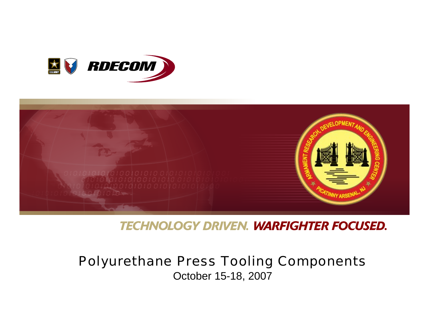



**TECHNOLOGY DRIVEN. WARFIGHTER FOCUSED.** 

## Polyurethane Press Tooling Components October 15-18, 2007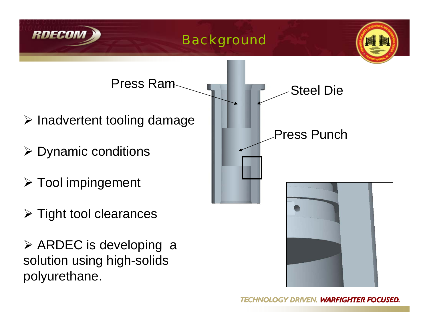



Press Ram

¾ Dynamic conditions

RDECO

- ¾ Tool impingement
- ¾ Tight tool clearances
- ¾ ARDEC is developing a solution using high-solids polyurethane.

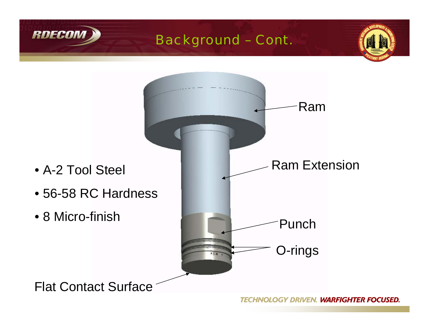



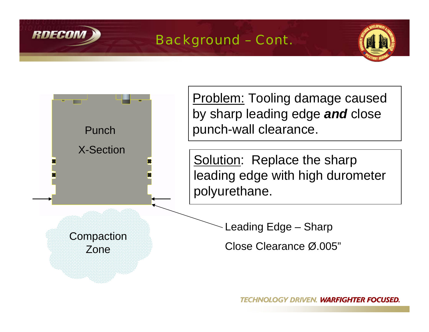





**Problem:** Tooling damage caused by sharp leading edge *and* close punch-wall clearance.

Solution: Replace the sharp leading edge with high durometer

Leading Edge – Sharp

Close Clearance Ø.005"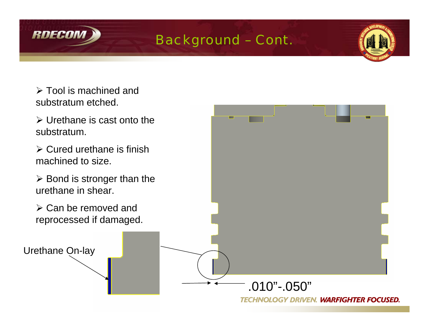



- $\triangleright$  Tool is machined and substratum etched.
- $\triangleright$  Urethane is cast onto the substratum.
- $\triangleright$  Cured urethane is finish machined to size.
- $\triangleright$  Bond is stronger than the urethane in shear.
- $\triangleright$  Can be removed and reprocessed if damaged.

Urethane On-lay

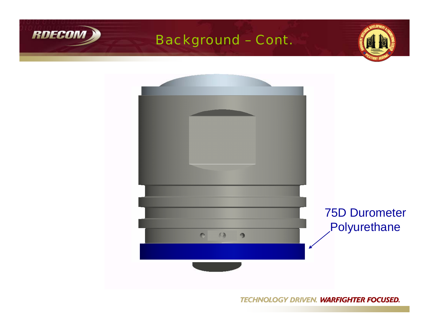



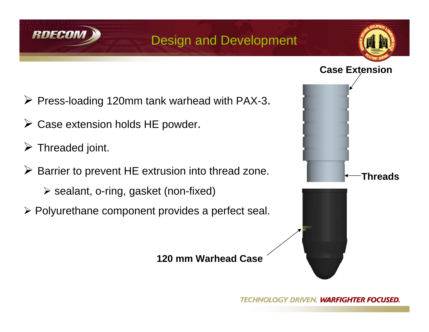

## Design and Development





- ¾ Press-loading 120mm tank warhead with PAX-3.
- $\triangleright$  Case extension holds HE powder.
- $\triangleright$  Threaded joint.
- ¾ Barrier to prevent HE extrusion into thread zone.
	- ¾ sealant, o-ring, gasket (non-fixed)
- ¾ Polyurethane component provides a perfect seal.

#### **120 mm Warhead Case**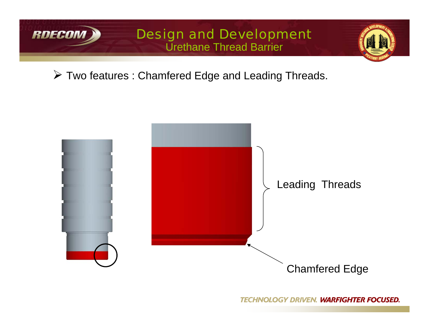

#### Design and Development Urethane Thread Barrier



¾ Two features : Chamfered Edge and Leading Threads.

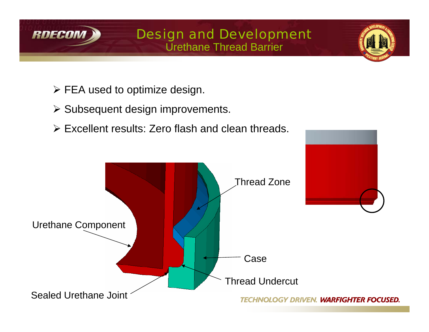

### Design and Development Urethane Thread Barrier

- $\triangleright$  FEA used to optimize design.
- ¾ Subsequent design improvements.
- ¾ Excellent results: Zero flash and clean threads.

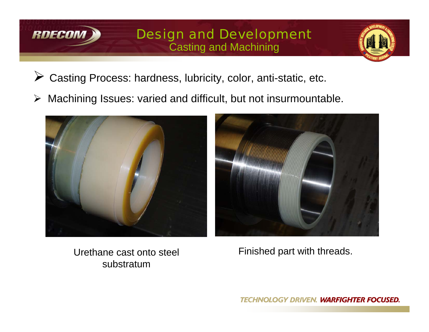

### Design and Development Casting and Machining



- ¾Casting Process: hardness, lubricity, color, anti-static, etc.
- ¾Machining Issues: varied and difficult, but not insurmountable.





Urethane cast onto steel substratum

Finished part with threads.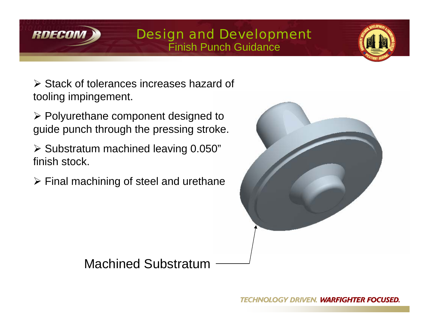

#### Design and Development Finish Punch Guidance



¾ Stack of tolerances increases hazard of tooling impingement.

¾ Polyurethane component designed to guide punch through the pressing stroke.

¾ Substratum machined leaving 0.050" finish stock.

 $\triangleright$  Final machining of steel and urethane



Machined Substratum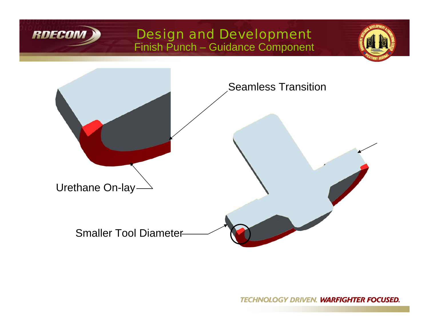

#### Design and Development Finish Punch – Guidance Component



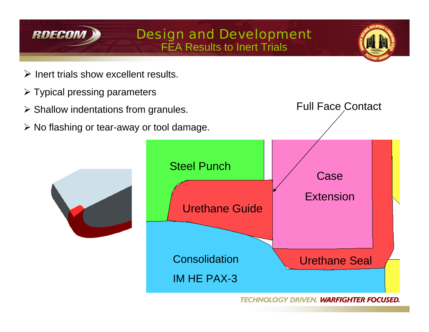



- $\triangleright$  Inert trials show excellent results.
- $\triangleright$  Typical pressing parameters
- $\triangleright$  Shallow indentations from granules.
- ¾ No flashing or tear-away or tool damage.

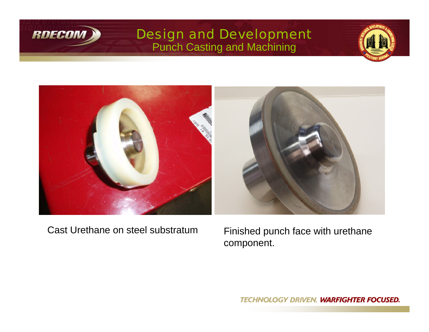

### Design and Development Punch Casting and Machining





Cast Urethane on steel substratum

 Finished punch face with urethane component.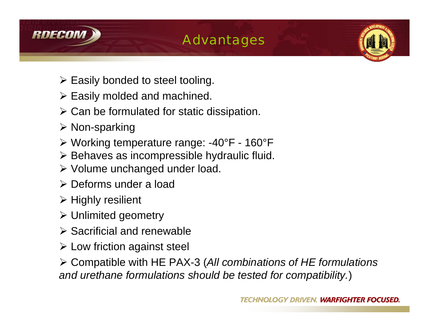

## Advantages



- $\triangleright$  Easily bonded to steel tooling.
- $\triangleright$  Easily molded and machined.
- $\triangleright$  Can be formulated for static dissipation.
- ¾ Non-sparking
- ¾ Working temperature range: -40°F 160°F
- $\triangleright$  Behaves as incompressible hydraulic fluid.
- ¾ Volume unchanged under load.
- ¾ Deforms under a load
- ¾ Highly resilient
- ¾ Unlimited geometry
- $\triangleright$  Sacrificial and renewable
- $\triangleright$  Low friction against steel

¾ Compatible with HE PAX-3 (*All combinations of HE formulations and urethane formulations should be tested for compatibility.*)